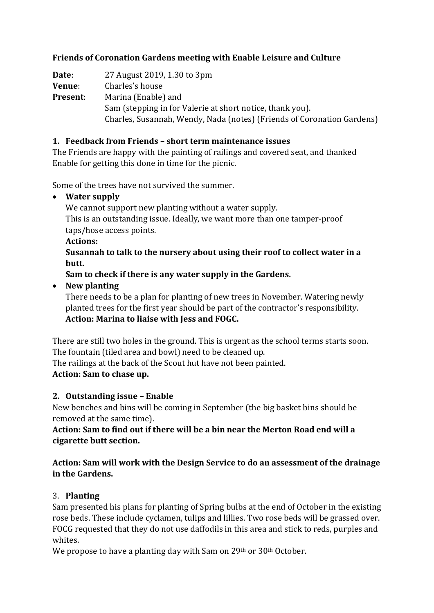#### **Friends of Coronation Gardens meeting with Enable Leisure and Culture**

**Date**: 27 August 2019, 1.30 to 3pm **Venue**: Charles's house **Present**: Marina (Enable) and Sam (stepping in for Valerie at short notice, thank you). Charles, Susannah, Wendy, Nada (notes) (Friends of Coronation Gardens)

#### **1. Feedback from Friends – short term maintenance issues**

The Friends are happy with the painting of railings and covered seat, and thanked Enable for getting this done in time for the picnic.

Some of the trees have not survived the summer.

#### • **Water supply**

We cannot support new planting without a water supply.

This is an outstanding issue. Ideally, we want more than one tamper-proof taps/hose access points.

#### **Actions:**

**Susannah to talk to the nursery about using their roof to collect water in a butt.**

**Sam to check if there is any water supply in the Gardens.**

• **New planting**

There needs to be a plan for planting of new trees in November. Watering newly planted trees for the first year should be part of the contractor's responsibility. **Action: Marina to liaise with Jess and FOGC.**

There are still two holes in the ground. This is urgent as the school terms starts soon. The fountain (tiled area and bowl) need to be cleaned up.

The railings at the back of the Scout hut have not been painted.

# **Action: Sam to chase up.**

# **2. Outstanding issue – Enable**

New benches and bins will be coming in September (the big basket bins should be removed at the same time).

**Action: Sam to find out if there will be a bin near the Merton Road end will a cigarette butt section.**

#### **Action: Sam will work with the Design Service to do an assessment of the drainage in the Gardens.**

# 3. **Planting**

Sam presented his plans for planting of Spring bulbs at the end of October in the existing rose beds. These include cyclamen, tulips and lillies. Two rose beds will be grassed over. FOCG requested that they do not use daffodils in this area and stick to reds, purples and whites.

We propose to have a planting day with Sam on 29<sup>th</sup> or 30<sup>th</sup> October.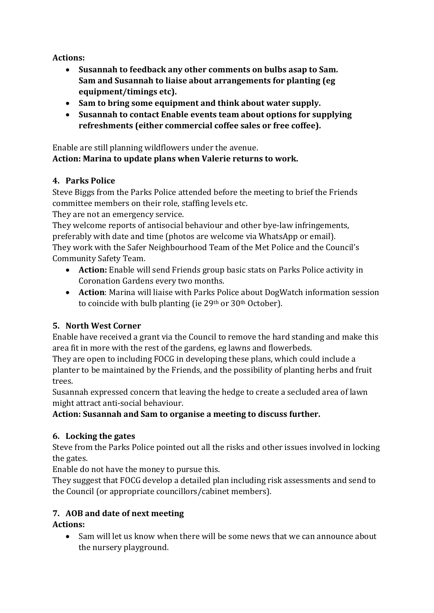**Actions:**

- **Susannah to feedback any other comments on bulbs asap to Sam. Sam and Susannah to liaise about arrangements for planting (eg equipment/timings etc).**
- **Sam to bring some equipment and think about water supply.**
- **Susannah to contact Enable events team about options for supplying refreshments (either commercial coffee sales or free coffee).**

Enable are still planning wildflowers under the avenue. **Action: Marina to update plans when Valerie returns to work.**

#### **4. Parks Police**

Steve Biggs from the Parks Police attended before the meeting to brief the Friends committee members on their role, staffing levels etc.

They are not an emergency service.

They welcome reports of antisocial behaviour and other bye-law infringements, preferably with date and time (photos are welcome via WhatsApp or email). They work with the Safer Neighbourhood Team of the Met Police and the Council's Community Safety Team.

- **Action:** Enable will send Friends group basic stats on Parks Police activity in Coronation Gardens every two months.
- **Action**: Marina will liaise with Parks Police about DogWatch information session to coincide with bulb planting (ie 29<sup>th</sup> or 30<sup>th</sup> October).

# **5. North West Corner**

Enable have received a grant via the Council to remove the hard standing and make this area fit in more with the rest of the gardens, eg lawns and flowerbeds.

They are open to including FOCG in developing these plans, which could include a planter to be maintained by the Friends, and the possibility of planting herbs and fruit trees.

Susannah expressed concern that leaving the hedge to create a secluded area of lawn might attract anti-social behaviour.

**Action: Susannah and Sam to organise a meeting to discuss further.**

# **6. Locking the gates**

Steve from the Parks Police pointed out all the risks and other issues involved in locking the gates.

Enable do not have the money to pursue this.

They suggest that FOCG develop a detailed plan including risk assessments and send to the Council (or appropriate councillors/cabinet members).

# **7. AOB and date of next meeting**

**Actions:**

• Sam will let us know when there will be some news that we can announce about the nursery playground.